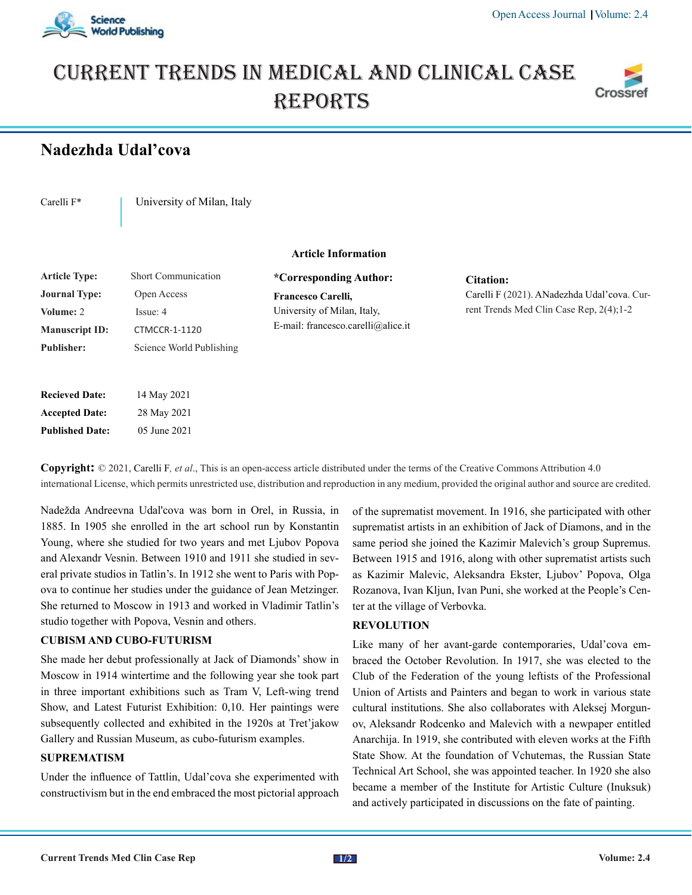

# Current trends in medical and Clinical case **REPORTS**



# **Nadezhda Udal'cova**

Carelli F<sup>\*</sup> | University of Milan, Italy

## **Article Information**

| Short Communication      |
|--------------------------|
| Open Access              |
| Issue: 4                 |
| <b>CTMCCR-1-1120</b>     |
| Science World Publishing |
|                          |

| <b>Recieved Date:</b>  | 14 May 2021  |
|------------------------|--------------|
| <b>Accepted Date:</b>  | 28 May 2021  |
| <b>Published Date:</b> | 05 June 2021 |

**\*Corresponding Author: Francesco Carelli,** University of Milan, Italy, E-mail: francesco.carelli@alice.it

**Citation:**  Carelli F (2021). ANadezhda Udal'cova. Current Trends Med Clin Case Rep, 2(4);1-2

**Copyright:** © 2021, Carelli F*, et al*., This is an open-access article distributed under the terms of the Creative Commons Attribution 4.0 international License, which permits unrestricted use, distribution and reproduction in any medium, provided the original author and source are credited.

Nadežda Andreevna Udal'cova was born in Orel, in Russia, in 1885. In 1905 she enrolled in the art school run by Konstantin Young, where she studied for two years and met Ljubov Popova and Alexandr Vesnin. Between 1910 and 1911 she studied in several private studios in Tatlin's. In 1912 she went to Paris with Popova to continue her studies under the guidance of Jean Metzinger. She returned to Moscow in 1913 and worked in Vladimir Tatlin's studio together with Popova, Vesnin and others.

### **CUBISM AND CUBO-FUTURISM**

She made her debut professionally at Jack of Diamonds' show in Moscow in 1914 wintertime and the following year she took part in three important exhibitions such as Tram V, Left-wing trend Show, and Latest Futurist Exhibition: 0,10. Her paintings were subsequently collected and exhibited in the 1920s at Tret'jakow Gallery and Russian Museum, as cubo-futurism examples.

#### **SUPREMATISM**

Under the influence of Tattlin, Udal'cova she experimented with constructivism but in the end embraced the most pictorial approach of the suprematist movement. In 1916, she participated with other suprematist artists in an exhibition of Jack of Diamons, and in the same period she joined the Kazimir Malevich's group Supremus. Between 1915 and 1916, along with other suprematist artists such as Kazimir Malevic, Aleksandra Ekster, Ljubov' Popova, Olga Rozanova, Ivan Kljun, Ivan Puni, she worked at the People's Center at the village of Verbovka.

#### **REVOLUTION**

Like many of her avant-garde contemporaries, Udal'cova embraced the October Revolution. In 1917, she was elected to the Club of the Federation of the young leftists of the Professional Union of Artists and Painters and began to work in various state cultural institutions. She also collaborates with Aleksej Morgunov, Aleksandr Rodcenko and Malevich with a newpaper entitled Anarchija. In 1919, she contributed with eleven works at the Fifth State Show. At the foundation of Vchutemas, the Russian State Technical Art School, she was appointed teacher. In 1920 she also became a member of the Institute for Artistic Culture (Inuksuk) and actively participated in discussions on the fate of painting.